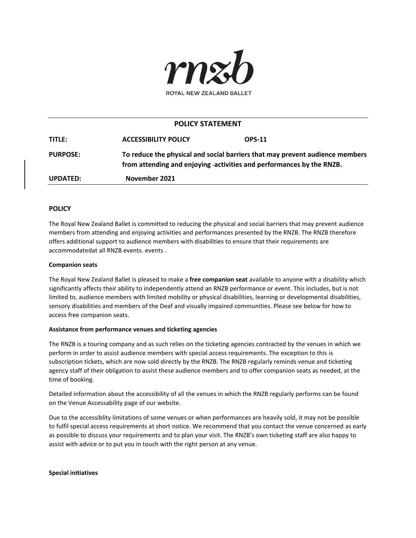

# **POLICY STATEMENT**

| TITLE:          | <b>ACCESSIBILITY POLICY</b>                                                                                                                           | <b>OPS-11</b> |
|-----------------|-------------------------------------------------------------------------------------------------------------------------------------------------------|---------------|
| <b>PURPOSE:</b> | To reduce the physical and social barriers that may prevent audience members<br>from attending and enjoying -activities and performances by the RNZB. |               |
| UPDATED:        | November 2021                                                                                                                                         |               |

## **POLICY**

The Royal New Zealand Ballet is committed to reducing the physical and social barriers that may prevent audience members from attending and enjoying activities and performances presented by the RNZB. The RNZB therefore offers additional support to audience members with disabilities to ensure that their requirements are accommodatedat all RNZB events. events .

### **Companion seats**

The Royal New Zealand Ballet is pleased to make a **free companion seat** available to anyone with a disability which significantly affects their ability to independently attend an RNZB performance or event. This includes, but is not limited to, audience members with limited mobility or physical disabilities, learning or developmental disabilities, sensory disabilities and members of the Deaf and visually impaired communities. Please see below for how to access free companion seats.

## **Assistance from performance venues and ticketing agencies**

The RNZB is a touring company and as such relies on the ticketing agencies contracted by the venues in which we perform in order to assist audience members with special access requirements. The exception to this is subscription tickets, which are now sold directly by the RNZB. The RNZB regularly reminds venue and ticketing agency staff of their obligation to assist these audience members and to offer companion seats as needed, at the time of booking.

Detailed information about the accessibility of all the venues in which the RNZB regularly performs can be found on the Venue Accessability page of our website.

Due to the accessiblity limitations of some venues or when performances are heavily sold, it may not be possible to fulfil special access requirements at short notice. We recommend that you contact the venue concerned as early as possible to discuss your requirements and to plan your visit. The RNZB's own ticketing staff are also happy to assist with advice or to put you in touch with the right person at any venue.

**Special initiatives**